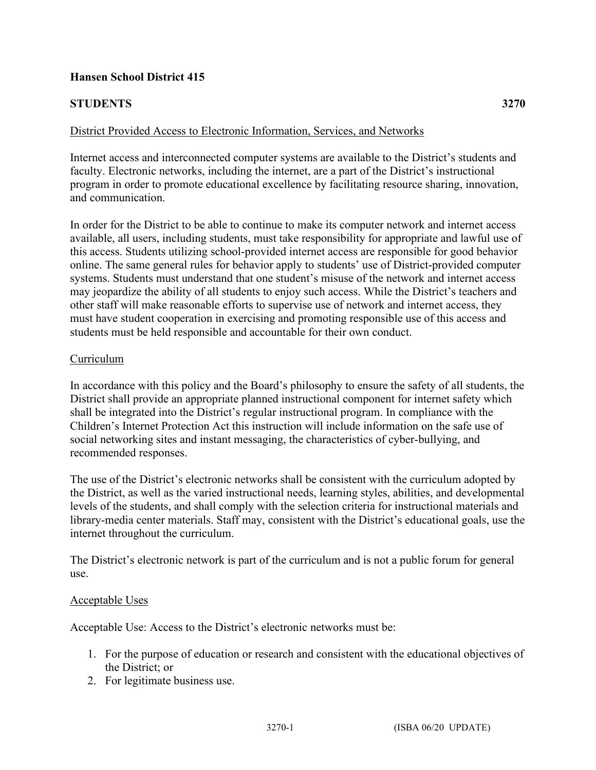# **Hansen School District 415**

# **STUDENTS 3270**

# District Provided Access to Electronic Information, Services, and Networks

Internet access and interconnected computer systems are available to the District's students and faculty. Electronic networks, including the internet, are a part of the District's instructional program in order to promote educational excellence by facilitating resource sharing, innovation, and communication.

In order for the District to be able to continue to make its computer network and internet access available, all users, including students, must take responsibility for appropriate and lawful use of this access. Students utilizing school-provided internet access are responsible for good behavior online. The same general rules for behavior apply to students' use of District-provided computer systems. Students must understand that one student's misuse of the network and internet access may jeopardize the ability of all students to enjoy such access. While the District's teachers and other staff will make reasonable efforts to supervise use of network and internet access, they must have student cooperation in exercising and promoting responsible use of this access and students must be held responsible and accountable for their own conduct.

## Curriculum

In accordance with this policy and the Board's philosophy to ensure the safety of all students, the District shall provide an appropriate planned instructional component for internet safety which shall be integrated into the District's regular instructional program. In compliance with the Children's Internet Protection Act this instruction will include information on the safe use of social networking sites and instant messaging, the characteristics of cyber-bullying, and recommended responses.

The use of the District's electronic networks shall be consistent with the curriculum adopted by the District, as well as the varied instructional needs, learning styles, abilities, and developmental levels of the students, and shall comply with the selection criteria for instructional materials and library-media center materials. Staff may, consistent with the District's educational goals, use the internet throughout the curriculum.

The District's electronic network is part of the curriculum and is not a public forum for general use.

## Acceptable Uses

Acceptable Use: Access to the District's electronic networks must be:

- 1. For the purpose of education or research and consistent with the educational objectives of the District; or
- 2. For legitimate business use.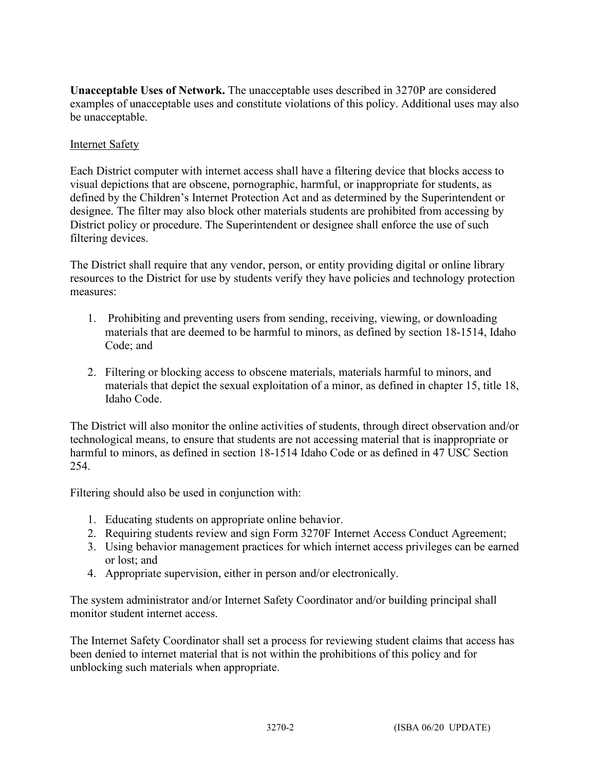**Unacceptable Uses of Network.** The unacceptable uses described in 3270P are considered examples of unacceptable uses and constitute violations of this policy. Additional uses may also be unacceptable.

# Internet Safety

Each District computer with internet access shall have a filtering device that blocks access to visual depictions that are obscene, pornographic, harmful, or inappropriate for students, as defined by the Children's Internet Protection Act and as determined by the Superintendent or designee. The filter may also block other materials students are prohibited from accessing by District policy or procedure. The Superintendent or designee shall enforce the use of such filtering devices.

The District shall require that any vendor, person, or entity providing digital or online library resources to the District for use by students verify they have policies and technology protection measures:

- 1. Prohibiting and preventing users from sending, receiving, viewing, or downloading materials that are deemed to be harmful to minors, as defined by section 18-1514, Idaho Code; and
- 2. Filtering or blocking access to obscene materials, materials harmful to minors, and materials that depict the sexual exploitation of a minor, as defined in chapter 15, title 18, Idaho Code.

The District will also monitor the online activities of students, through direct observation and/or technological means, to ensure that students are not accessing material that is inappropriate or harmful to minors, as defined in section 18-1514 Idaho Code or as defined in 47 USC Section 254.

Filtering should also be used in conjunction with:

- 1. Educating students on appropriate online behavior.
- 2. Requiring students review and sign Form 3270F Internet Access Conduct Agreement;
- 3. Using behavior management practices for which internet access privileges can be earned or lost; and
- 4. Appropriate supervision, either in person and/or electronically.

The system administrator and/or Internet Safety Coordinator and/or building principal shall monitor student internet access.

The Internet Safety Coordinator shall set a process for reviewing student claims that access has been denied to internet material that is not within the prohibitions of this policy and for unblocking such materials when appropriate.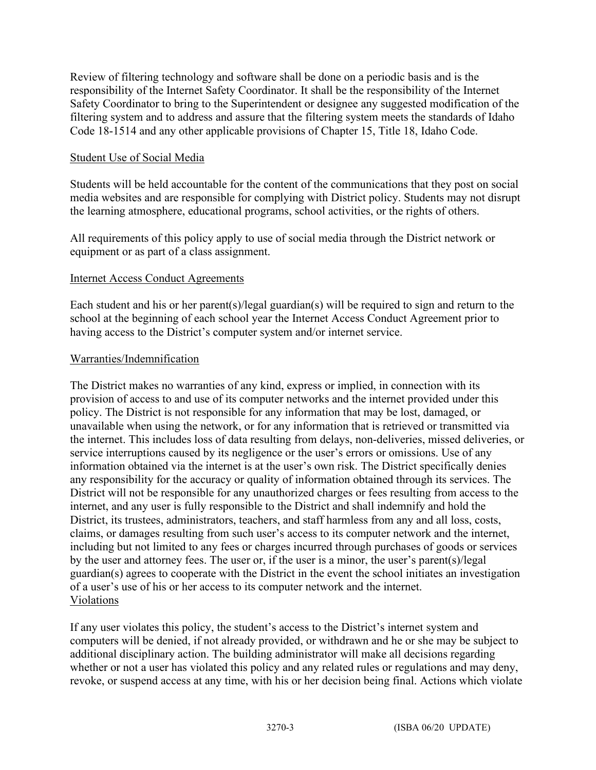Review of filtering technology and software shall be done on a periodic basis and is the responsibility of the Internet Safety Coordinator. It shall be the responsibility of the Internet Safety Coordinator to bring to the Superintendent or designee any suggested modification of the filtering system and to address and assure that the filtering system meets the standards of Idaho Code 18-1514 and any other applicable provisions of Chapter 15, Title 18, Idaho Code.

## Student Use of Social Media

Students will be held accountable for the content of the communications that they post on social media websites and are responsible for complying with District policy. Students may not disrupt the learning atmosphere, educational programs, school activities, or the rights of others.

All requirements of this policy apply to use of social media through the District network or equipment or as part of a class assignment.

## Internet Access Conduct Agreements

Each student and his or her parent(s)/legal guardian(s) will be required to sign and return to the school at the beginning of each school year the Internet Access Conduct Agreement prior to having access to the District's computer system and/or internet service.

## Warranties/Indemnification

The District makes no warranties of any kind, express or implied, in connection with its provision of access to and use of its computer networks and the internet provided under this policy. The District is not responsible for any information that may be lost, damaged, or unavailable when using the network, or for any information that is retrieved or transmitted via the internet. This includes loss of data resulting from delays, non-deliveries, missed deliveries, or service interruptions caused by its negligence or the user's errors or omissions. Use of any information obtained via the internet is at the user's own risk. The District specifically denies any responsibility for the accuracy or quality of information obtained through its services. The District will not be responsible for any unauthorized charges or fees resulting from access to the internet, and any user is fully responsible to the District and shall indemnify and hold the District, its trustees, administrators, teachers, and staff harmless from any and all loss, costs, claims, or damages resulting from such user's access to its computer network and the internet, including but not limited to any fees or charges incurred through purchases of goods or services by the user and attorney fees. The user or, if the user is a minor, the user's parent(s)/legal guardian(s) agrees to cooperate with the District in the event the school initiates an investigation of a user's use of his or her access to its computer network and the internet. Violations

If any user violates this policy, the student's access to the District's internet system and computers will be denied, if not already provided, or withdrawn and he or she may be subject to additional disciplinary action. The building administrator will make all decisions regarding whether or not a user has violated this policy and any related rules or regulations and may deny, revoke, or suspend access at any time, with his or her decision being final. Actions which violate